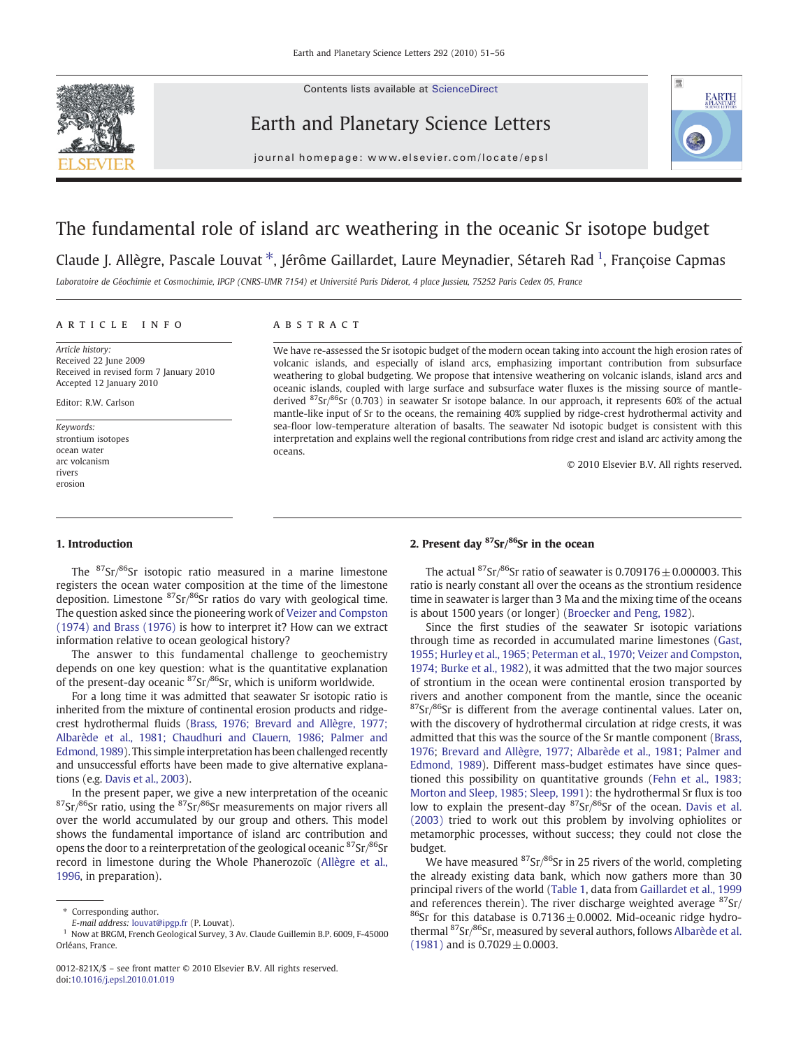

Contents lists available at ScienceDirect

Earth and Planetary Science Letters



journal homepage: www.elsevier.com/locate/epsl

# The fundamental role of island arc weathering in the oceanic Sr isotope budget

Claude J. Allègre, Pascale Louvat<sup>\*</sup>, Jérôme Gaillardet, Laure Meynadier, Sétareh Rad<sup>1</sup>, Françoise Capmas

Laboratoire de Géochimie et Cosmochimie, IPGP (CNRS-UMR 7154) et Université Paris Diderot, 4 place Jussieu, 75252 Paris Cedex 05, France

# article info abstract

Article history: Received 22 June 2009 Received in revised form 7 January 2010 Accepted 12 January 2010

Editor: R.W. Carlson

Keywords: strontium isotopes ocean water arc volcanism rivers erosion

We have re-assessed the Sr isotopic budget of the modern ocean taking into account the high erosion rates of volcanic islands, and especially of island arcs, emphasizing important contribution from subsurface weathering to global budgeting. We propose that intensive weathering on volcanic islands, island arcs and oceanic islands, coupled with large surface and subsurface water fluxes is the missing source of mantlederived  ${}^{87}Sr/{}^{86}Sr$  (0.703) in seawater Sr isotope balance. In our approach, it represents 60% of the actual mantle-like input of Sr to the oceans, the remaining 40% supplied by ridge-crest hydrothermal activity and sea-floor low-temperature alteration of basalts. The seawater Nd isotopic budget is consistent with this interpretation and explains well the regional contributions from ridge crest and island arc activity among the oceans.

© 2010 Elsevier B.V. All rights reserved.

# 1. Introduction

The 87Sr/86Sr isotopic ratio measured in a marine limestone registers the ocean water composition at the time of the limestone deposition. Limestone  ${}^{87}Sr/{}^{86}Sr$  ratios do vary with geological time. The question asked since the pioneering work of [Veizer and Compston](#page-5-0) [\(1974\) and Brass \(1976\)](#page-5-0) is how to interpret it? How can we extract information relative to ocean geological history?

The answer to this fundamental challenge to geochemistry depends on one key question: what is the quantitative explanation of the present-day oceanic  ${}^{87}Sr/{}^{86}Sr$ , which is uniform worldwide.

For a long time it was admitted that seawater Sr isotopic ratio is inherited from the mixture of continental erosion products and ridgecrest hydrothermal fluids [\(Brass, 1976; Brevard and Allègre, 1977;](#page-5-0) [Albarède et al., 1981; Chaudhuri and Clauern, 1986; Palmer and](#page-5-0) [Edmond, 1989](#page-5-0)). This simple interpretation has been challenged recently and unsuccessful efforts have been made to give alternative explanations (e.g. [Davis et al., 2003\)](#page-5-0).

In the present paper, we give a new interpretation of the oceanic  $87$ Sr/ $86$ Sr ratio, using the  $87$ Sr/ $86$ Sr measurements on major rivers all over the world accumulated by our group and others. This model shows the fundamental importance of island arc contribution and opens the door to a reinterpretation of the geological oceanic  $87$ Sr $/86$ Sr record in limestone during the Whole Phanerozoïc [\(Allègre et al.,](#page-4-0) [1996,](#page-4-0) in preparation).

# 2. Present day  $87$ Sr $/86$ Sr in the ocean

The actual  ${}^{87}Sr/{}^{86}Sr$  ratio of seawater is 0.709176  $\pm$  0.000003. This ratio is nearly constant all over the oceans as the strontium residence time in seawater is larger than 3 Ma and the mixing time of the oceans is about 1500 years (or longer) ([Broecker and Peng, 1982](#page-5-0)).

Since the first studies of the seawater Sr isotopic variations through time as recorded in accumulated marine limestones ([Gast,](#page-5-0) [1955; Hurley et al., 1965; Peterman et al., 1970; Veizer and Compston,](#page-5-0) [1974; Burke et al., 1982\)](#page-5-0), it was admitted that the two major sources of strontium in the ocean were continental erosion transported by rivers and another component from the mantle, since the oceanic  $87$ Sr $/86$ Sr is different from the average continental values. Later on, with the discovery of hydrothermal circulation at ridge crests, it was admitted that this was the source of the Sr mantle component ([Brass,](#page-5-0) [1976;](#page-5-0) [Brevard and Allègre, 1977; Albarède et al., 1981; Palmer and](#page-5-0) [Edmond, 1989\)](#page-5-0). Different mass-budget estimates have since questioned this possibility on quantitative grounds [\(Fehn et al., 1983;](#page-5-0) [Morton and Sleep, 1985; Sleep, 1991\)](#page-5-0): the hydrothermal Sr flux is too low to explain the present-day  ${}^{87}Sr/{}^{86}Sr$  of the ocean. [Davis et al.](#page-5-0) [\(2003\)](#page-5-0) tried to work out this problem by involving ophiolites or metamorphic processes, without success; they could not close the budget.

We have measured  $87$ Sr/ $86$ Sr in 25 rivers of the world, completing the already existing data bank, which now gathers more than 30 principal rivers of the world [\(Table 1](#page-1-0), data from [Gaillardet et al., 1999](#page-5-0) and references therein). The river discharge weighted average  $87$ Sr/ <sup>86</sup>Sr for this database is  $0.7136 \pm 0.0002$ . Mid-oceanic ridge hydro-thermal <sup>87</sup>Sr/<sup>86</sup>Sr, measured by several authors, follows [Albarède et al.](#page-4-0) [\(1981\)](#page-4-0) and is  $0.7029 \pm 0.0003$ .

<sup>⁎</sup> Corresponding author.

E-mail address: [louvat@ipgp.fr](mailto:louvat@ipgp.fr) (P. Louvat).

<sup>&</sup>lt;sup>1</sup> Now at BRGM, French Geological Survey, 3 Av. Claude Guillemin B.P. 6009, F-45000 Orléans, France.

<sup>0012-821</sup>X/\$ – see front matter © 2010 Elsevier B.V. All rights reserved. doi:[10.1016/j.epsl.2010.01.019](http://dx.doi.org/10.1016/j.epsl.2010.01.019)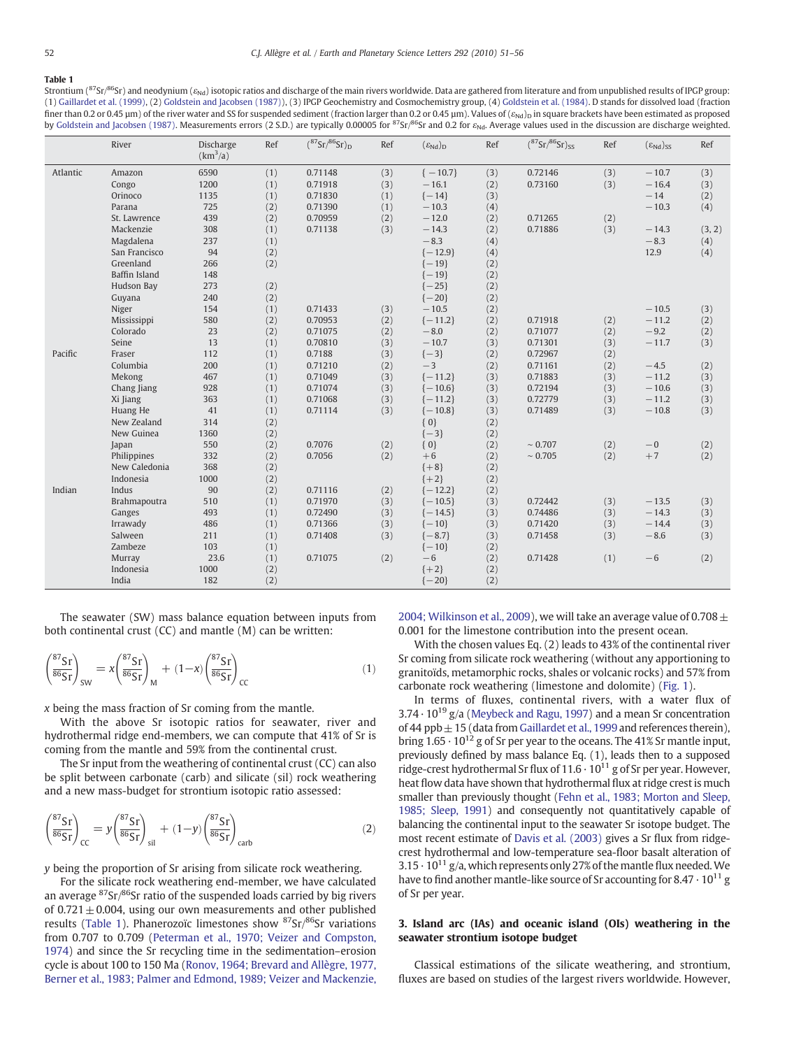#### <span id="page-1-0"></span>Table 1

Strontium ( $87$ Sr/ $86$ Sr) and neodynium ( $\varepsilon_{\text{Nd}}$ ) isotopic ratios and discharge of the main rivers worldwide. Data are gathered from literature and from unpublished results of IPGP group: (1) [Gaillardet et al. \(1999\)](#page-5-0), (2) [Goldstein and Jacobsen \(1987\)](#page-5-0)), (3) IPGP Geochemistry and Cosmochemistry group, (4) [Goldstein et al. \(1984\)](#page-5-0). D stands for dissolved load (fraction finer than 0.2 or 0.45  $\mu$ m) of the river water and SS for suspended sediment (fraction larger than 0.2 or 0.45  $\mu$ m). Values of ( $\varepsilon_{Nd}$ ) in square brackets have been estimated as proposed by [Goldstein and Jacobsen \(1987\).](#page-5-0) Measurements errors (2 S.D.) are typically 0.00005 for  ${}^{87}Sr/{}^{86}Sr$  and 0.2 for  $\varepsilon_{Nd}$ . Average values used in the discussion are discharge weighted.

|          | River         | Discharge<br>$(km^3/a)$ | Ref | $({}^{87}Sr/{}^{86}Sr)_{D}$ | Ref | $(\varepsilon_{\text{Nd}})_{\text{D}}$ | Ref | $({}^{87}Sr/{}^{86}Sr)_{SS}$ | Ref | $(\epsilon_{Nd})_{SS}$ | Ref    |
|----------|---------------|-------------------------|-----|-----------------------------|-----|----------------------------------------|-----|------------------------------|-----|------------------------|--------|
| Atlantic | Amazon        | 6590                    | (1) | 0.71148                     | (3) | $\{-10.7\}$                            | (3) | 0.72146                      | (3) | $-10.7$                | (3)    |
|          | Congo         | 1200                    | (1) | 0.71918                     | (3) | $-16.1$                                | (2) | 0.73160                      | (3) | $-16.4$                | (3)    |
|          | Orinoco       | 1135                    | (1) | 0.71830                     | (1) | $\{-14\}$                              | (3) |                              |     | $-14$                  | (2)    |
|          | Parana        | 725                     | (2) | 0.71390                     | (1) | $-10.3$                                | (4) |                              |     | $-10.3$                | (4)    |
|          | St. Lawrence  | 439                     | (2) | 0.70959                     | (2) | $-12.0$                                | (2) | 0.71265                      | (2) |                        |        |
|          | Mackenzie     | 308                     | (1) | 0.71138                     | (3) | $-14.3$                                | (2) | 0.71886                      | (3) | $-14.3$                | (3, 2) |
|          | Magdalena     | 237                     | (1) |                             |     | $-8.3$                                 | (4) |                              |     | $-8.3$                 | (4)    |
|          | San Francisco | 94                      | (2) |                             |     | $\{-12.9\}$                            | (4) |                              |     | 12.9                   | (4)    |
|          | Greenland     | 266                     | (2) |                             |     | $\{-19\}$                              | (2) |                              |     |                        |        |
|          | Baffin Island | 148                     |     |                             |     | $\{-19\}$                              | (2) |                              |     |                        |        |
|          | Hudson Bay    | 273                     | (2) |                             |     | $\{-25\}$                              | (2) |                              |     |                        |        |
|          | Guyana        | 240                     | (2) |                             |     | $\{-20\}$                              | (2) |                              |     |                        |        |
|          | Niger         | 154                     | (1) | 0.71433                     | (3) | $-10.5$                                | (2) |                              |     | $-10.5$                | (3)    |
|          | Mississippi   | 580                     | (2) | 0.70953                     | (2) | $\{-11.2\}$                            | (2) | 0.71918                      | (2) | $-11.2$                | (2)    |
|          | Colorado      | 23                      | (2) | 0.71075                     | (2) | $-8.0$                                 | (2) | 0.71077                      | (2) | $-9.2$                 | (2)    |
|          | Seine         | 13                      | (1) | 0.70810                     | (3) | $-10.7$                                | (3) | 0.71301                      | (3) | $-11.7$                | (3)    |
| Pacific  | Fraser        | 112                     | (1) | 0.7188                      | (3) | $\{-3\}$                               | (2) | 0.72967                      | (2) |                        |        |
|          | Columbia      | 200                     | (1) | 0.71210                     | (2) | $-3$                                   | (2) | 0.71161                      | (2) | $-4.5$                 | (2)    |
|          | Mekong        | 467                     | (1) | 0.71049                     | (3) | $\{-11.2\}$                            | (3) | 0.71883                      | (3) | $-11.2$                | (3)    |
|          | Chang Jiang   | 928                     | (1) | 0.71074                     | (3) | $\{-10.6\}$                            | (3) | 0.72194                      | (3) | $-10.6$                | (3)    |
|          | Xi Jiang      | 363                     | (1) | 0.71068                     | (3) | $\{-11.2\}$                            | (3) | 0.72779                      | (3) | $-11.2$                | (3)    |
|          | Huang He      | 41                      | (1) | 0.71114                     | (3) | $\{-10.8\}$                            | (3) | 0.71489                      | (3) | $-10.8$                | (3)    |
|          | New Zealand   | 314                     | (2) |                             |     | ${0}$                                  | (2) |                              |     |                        |        |
|          | New Guinea    | 1360                    | (2) |                             |     | $\{-3\}$                               | (2) |                              |     |                        |        |
|          | Japan         | 550                     | (2) | 0.7076                      | (2) | ${0}$                                  | (2) | $\sim 0.707$                 | (2) | $-0$                   | (2)    |
|          | Philippines   | 332                     | (2) | 0.7056                      | (2) | $+6$                                   | (2) | $\sim 0.705$                 | (2) | $+7$                   | (2)    |
|          | New Caledonia | 368                     | (2) |                             |     | ${+8}$                                 | (2) |                              |     |                        |        |
|          | Indonesia     | 1000                    | (2) |                             |     | ${+2}$                                 | (2) |                              |     |                        |        |
| Indian   | Indus         | 90                      | (2) | 0.71116                     | (2) | $\{-12.2\}$                            | (2) |                              |     |                        |        |
|          | Brahmapoutra  | 510                     | (1) | 0.71970                     | (3) | $\{-10.5\}$                            | (3) | 0.72442                      | (3) | $-13.5$                | (3)    |
|          | Ganges        | 493                     | (1) | 0.72490                     | (3) | $\{-14.5\}$                            | (3) | 0.74486                      | (3) | $-14.3$                | (3)    |
|          | Irrawady      | 486                     | (1) | 0.71366                     | (3) | $\{-10\}$                              | (3) | 0.71420                      | (3) | $-14.4$                | (3)    |
|          | Salween       | 211                     | (1) | 0.71408                     | (3) | $\{-8.7\}$                             | (3) | 0.71458                      | (3) | $-8.6$                 | (3)    |
|          | Zambeze       | 103                     | (1) |                             |     | $\{-10\}$                              | (2) |                              |     |                        |        |
|          | Murray        | 23.6                    | (1) | 0.71075                     | (2) | $-6$                                   | (2) | 0.71428                      | (1) | $-6$                   | (2)    |
|          | Indonesia     | 1000                    | (2) |                             |     | ${+2}$                                 | (2) |                              |     |                        |        |
|          | India         | 182                     | (2) |                             |     | $\{-20\}$                              | (2) |                              |     |                        |        |

The seawater (SW) mass balance equation between inputs from both continental crust (CC) and mantle (M) can be written:

$$
\left(\frac{{}^{87}\text{Sr}}{^{86}\text{Sr}}\right)_{\text{SW}} = x \left(\frac{{}^{87}\text{Sr}}{^{86}\text{Sr}}\right)_{\text{M}} + (1-x) \left(\frac{{}^{87}\text{Sr}}{^{86}\text{Sr}}\right)_{\text{CC}} \tag{1}
$$

x being the mass fraction of Sr coming from the mantle.

With the above Sr isotopic ratios for seawater, river and hydrothermal ridge end-members, we can compute that 41% of Sr is coming from the mantle and 59% from the continental crust.

The Sr input from the weathering of continental crust (CC) can also be split between carbonate (carb) and silicate (sil) rock weathering and a new mass-budget for strontium isotopic ratio assessed:

$$
\left(\frac{{}^{87}\text{Sr}}{^{86}\text{Sr}}\right)_{\text{CC}} = y \left(\frac{{}^{87}\text{Sr}}{^{86}\text{Sr}}\right)_{\text{sil}} + (1-y) \left(\frac{{}^{87}\text{Sr}}{^{86}\text{Sr}}\right)_{\text{carb}} \tag{2}
$$

y being the proportion of Sr arising from silicate rock weathering.

For the silicate rock weathering end-member, we have calculated an average  ${}^{87}Sr/{}^{86}Sr$  ratio of the suspended loads carried by big rivers of 0.721 $\pm$  0.004, using our own measurements and other published results (Table 1). Phanerozoïc limestones show  $87$ Sr $/86$ Sr variations from 0.707 to 0.709 ([Peterman et al., 1970; Veizer and Compston,](#page-5-0) [1974\)](#page-5-0) and since the Sr recycling time in the sedimentation–erosion cycle is about 100 to 150 Ma ([Ronov, 1964; Brevard and Allègre, 1977,](#page-5-0) [Berner et al., 1983; Palmer and Edmond, 1989; Veizer and Mackenzie,](#page-5-0) [2004; Wilkinson et al., 2009](#page-5-0)), we will take an average value of 0.708  $\pm$ 0.001 for the limestone contribution into the present ocean.

With the chosen values Eq. (2) leads to 43% of the continental river Sr coming from silicate rock weathering (without any apportioning to granitoïds, metamorphic rocks, shales or volcanic rocks) and 57% from carbonate rock weathering (limestone and dolomite) ([Fig. 1](#page-2-0)).

In terms of fluxes, continental rivers, with a water flux of  $3.74 \cdot 10^{19}$  g/a ([Meybeck and Ragu, 1997](#page-5-0)) and a mean Sr concentration of 44 ppb $\pm$  15 (data from [Gaillardet et al., 1999](#page-5-0) and references therein), bring  $1.65 \cdot 10^{12}$  g of Sr per year to the oceans. The 41% Sr mantle input, previously defined by mass balance Eq. (1), leads then to a supposed ridge-crest hydrothermal Sr flux of  $11.6 \cdot 10^{11}$  g of Sr per year. However, heat flow data have shown that hydrothermal flux at ridge crest is much smaller than previously thought ([Fehn et al., 1983; Morton and Sleep,](#page-5-0) [1985; Sleep, 1991\)](#page-5-0) and consequently not quantitatively capable of balancing the continental input to the seawater Sr isotope budget. The most recent estimate of [Davis et al. \(2003\)](#page-5-0) gives a Sr flux from ridgecrest hydrothermal and low-temperature sea-floor basalt alteration of  $3.15 \cdot 10^{11}$  g/a, which represents only 27% of the mantle flux needed. We have to find another mantle-like source of Sr accounting for  $8.47 \cdot 10^{11}$  g of Sr per year.

# 3. Island arc (IAs) and oceanic island (OIs) weathering in the seawater strontium isotope budget

Classical estimations of the silicate weathering, and strontium, fluxes are based on studies of the largest rivers worldwide. However,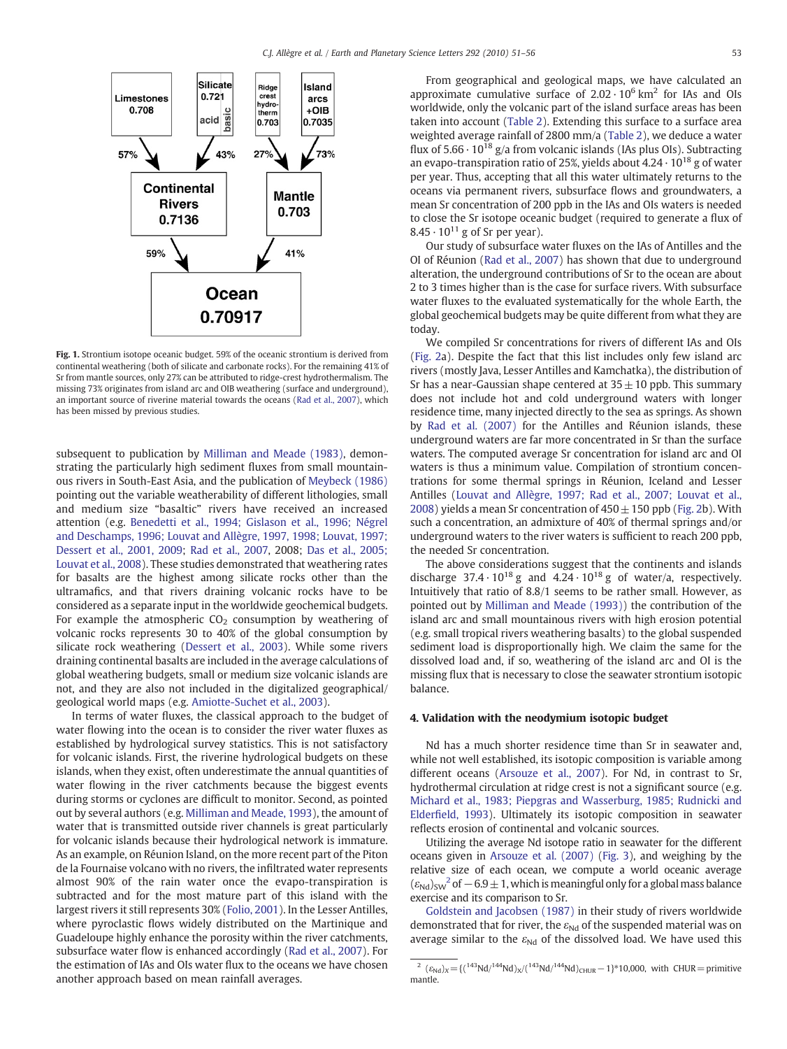<span id="page-2-0"></span>

Fig. 1. Strontium isotope oceanic budget. 59% of the oceanic strontium is derived from continental weathering (both of silicate and carbonate rocks). For the remaining 41% of Sr from mantle sources, only 27% can be attributed to ridge-crest hydrothermalism. The missing 73% originates from island arc and OIB weathering (surface and underground), an important source of riverine material towards the oceans ([Rad et al., 2007\)](#page-5-0), which has been missed by previous studies.

subsequent to publication by [Milliman and Meade \(1983\),](#page-5-0) demonstrating the particularly high sediment fluxes from small mountainous rivers in South-East Asia, and the publication of [Meybeck \(1986\)](#page-5-0) pointing out the variable weatherability of different lithologies, small and medium size "basaltic" rivers have received an increased attention (e.g. [Benedetti et al., 1994; Gislason et al., 1996; Négrel](#page-5-0) [and Deschamps, 1996; Louvat and Allègre, 1997, 1998; Louvat, 1997;](#page-5-0) [Dessert et al., 2001, 2009](#page-5-0); [Rad et al., 2007](#page-5-0), 2008; [Das et al., 2005;](#page-5-0) [Louvat et al., 2008](#page-5-0)). These studies demonstrated that weathering rates for basalts are the highest among silicate rocks other than the ultramafics, and that rivers draining volcanic rocks have to be considered as a separate input in the worldwide geochemical budgets. For example the atmospheric  $CO<sub>2</sub>$  consumption by weathering of volcanic rocks represents 30 to 40% of the global consumption by silicate rock weathering [\(Dessert et al., 2003\)](#page-5-0). While some rivers draining continental basalts are included in the average calculations of global weathering budgets, small or medium size volcanic islands are not, and they are also not included in the digitalized geographical/ geological world maps (e.g. [Amiotte-Suchet et al., 2003\)](#page-4-0).

In terms of water fluxes, the classical approach to the budget of water flowing into the ocean is to consider the river water fluxes as established by hydrological survey statistics. This is not satisfactory for volcanic islands. First, the riverine hydrological budgets on these islands, when they exist, often underestimate the annual quantities of water flowing in the river catchments because the biggest events during storms or cyclones are difficult to monitor. Second, as pointed out by several authors (e.g. [Milliman and Meade, 1993](#page-5-0)), the amount of water that is transmitted outside river channels is great particularly for volcanic islands because their hydrological network is immature. As an example, on Réunion Island, on the more recent part of the Piton de la Fournaise volcano with no rivers, the infiltrated water represents almost 90% of the rain water once the evapo-transpiration is subtracted and for the most mature part of this island with the largest rivers it still represents 30% ([Folio, 2001](#page-5-0)). In the Lesser Antilles, where pyroclastic flows widely distributed on the Martinique and Guadeloupe highly enhance the porosity within the river catchments, subsurface water flow is enhanced accordingly ([Rad et al., 2007](#page-5-0)). For the estimation of IAs and OIs water flux to the oceans we have chosen another approach based on mean rainfall averages.

From geographical and geological maps, we have calculated an approximate cumulative surface of  $2.02 \cdot 10^6$  km<sup>2</sup> for IAs and OIs worldwide, only the volcanic part of the island surface areas has been taken into account [\(Table 2\)](#page-3-0). Extending this surface to a surface area weighted average rainfall of 2800 mm/a [\(Table 2](#page-3-0)), we deduce a water flux of  $5.66 \cdot 10^{18}$  g/a from volcanic islands (IAs plus OIs). Subtracting an evapo-transpiration ratio of 25%, yields about  $4.24 \cdot 10^{18}$  g of water per year. Thus, accepting that all this water ultimately returns to the oceans via permanent rivers, subsurface flows and groundwaters, a mean Sr concentration of 200 ppb in the IAs and OIs waters is needed to close the Sr isotope oceanic budget (required to generate a flux of  $8.45 \cdot 10^{11}$  g of Sr per year).

Our study of subsurface water fluxes on the IAs of Antilles and the OI of Réunion ([Rad et al., 2007](#page-5-0)) has shown that due to underground alteration, the underground contributions of Sr to the ocean are about 2 to 3 times higher than is the case for surface rivers. With subsurface water fluxes to the evaluated systematically for the whole Earth, the global geochemical budgets may be quite different from what they are today.

We compiled Sr concentrations for rivers of different IAs and OIs [\(Fig. 2](#page-4-0)a). Despite the fact that this list includes only few island arc rivers (mostly Java, Lesser Antilles and Kamchatka), the distribution of Sr has a near-Gaussian shape centered at  $35\pm10$  ppb. This summary does not include hot and cold underground waters with longer residence time, many injected directly to the sea as springs. As shown by [Rad et al. \(2007\)](#page-5-0) for the Antilles and Réunion islands, these underground waters are far more concentrated in Sr than the surface waters. The computed average Sr concentration for island arc and OI waters is thus a minimum value. Compilation of strontium concentrations for some thermal springs in Réunion, Iceland and Lesser Antilles [\(Louvat and Allègre, 1997; Rad et al., 2007; Louvat et al.,](#page-5-0) [2008\)](#page-5-0) yields a mean Sr concentration of  $450 \pm 150$  ppb ([Fig. 2b](#page-4-0)). With such a concentration, an admixture of 40% of thermal springs and/or underground waters to the river waters is sufficient to reach 200 ppb, the needed Sr concentration.

The above considerations suggest that the continents and islands discharge  $37.4 \cdot 10^{18}$  g and  $4.24 \cdot 10^{18}$  g of water/a, respectively. Intuitively that ratio of 8.8/1 seems to be rather small. However, as pointed out by [Milliman and Meade \(1993\)\)](#page-5-0) the contribution of the island arc and small mountainous rivers with high erosion potential (e.g. small tropical rivers weathering basalts) to the global suspended sediment load is disproportionally high. We claim the same for the dissolved load and, if so, weathering of the island arc and OI is the missing flux that is necessary to close the seawater strontium isotopic balance.

#### 4. Validation with the neodymium isotopic budget

Nd has a much shorter residence time than Sr in seawater and, while not well established, its isotopic composition is variable among different oceans [\(Arsouze et al., 2007\)](#page-5-0). For Nd, in contrast to Sr, hydrothermal circulation at ridge crest is not a significant source (e.g. [Michard et al., 1983; Piepgras and Wasserburg, 1985; Rudnicki and](#page-5-0) Elderfi[eld, 1993\)](#page-5-0). Ultimately its isotopic composition in seawater reflects erosion of continental and volcanic sources.

Utilizing the average Nd isotope ratio in seawater for the different oceans given in [Arsouze et al. \(2007\)](#page-5-0) [\(Fig. 3](#page-4-0)), and weighing by the relative size of each ocean, we compute a world oceanic average  $(\epsilon_{Nd})_{SW}^2$  of  $-6.9 \pm 1$ , which is meaningful only for a global mass balance exercise and its comparison to Sr.

[Goldstein and Jacobsen \(1987\)](#page-5-0) in their study of rivers worldwide demonstrated that for river, the  $\varepsilon_{Nd}$  of the suspended material was on average similar to the  $\varepsilon_{Nd}$  of the dissolved load. We have used this

<sup>&</sup>lt;sup>2</sup> ( $\varepsilon_{Nd}$ )<sub>X</sub> = {(<sup>143</sup>Nd/<sup>144</sup>Nd)<sub>X</sub>/(<sup>143</sup>Nd/<sup>144</sup>Nd)<sub>CHUR</sub> - 1}\*10,000, with CHUR = primitive mantle.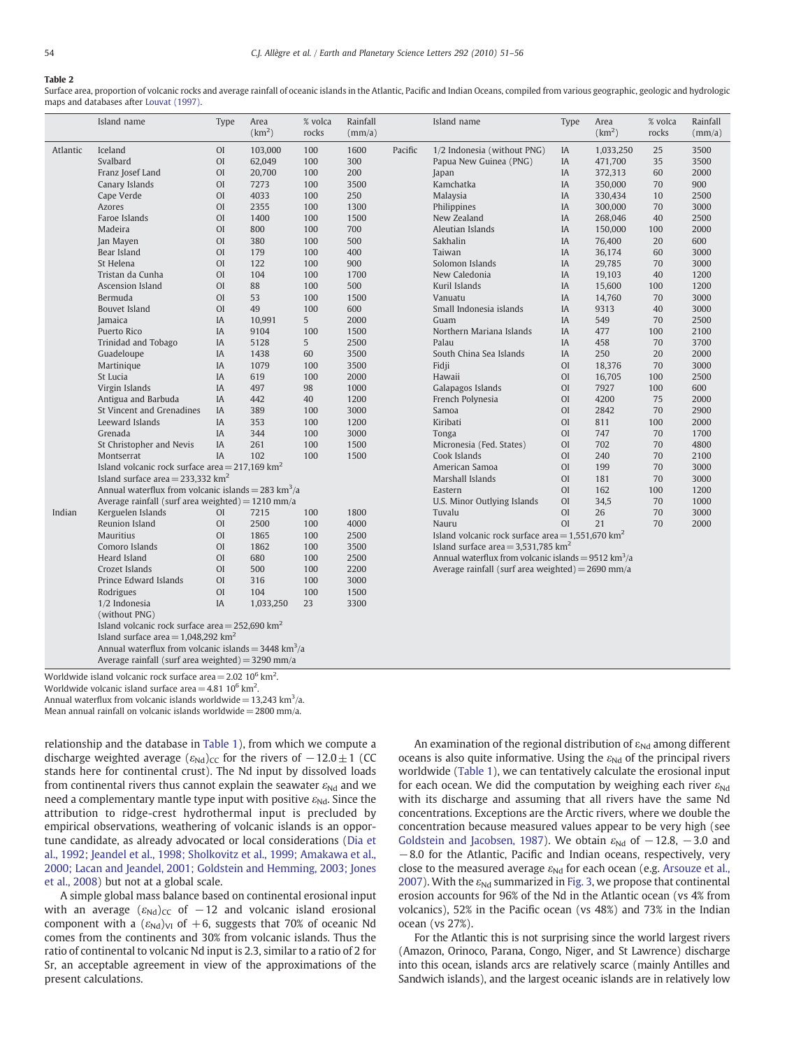#### <span id="page-3-0"></span>Table 2

Surface area, proportion of volcanic rocks and average rainfall of oceanic islands in the Atlantic, Pacific and Indian Oceans, compiled from various geographic, geologic and hydrologic maps and databases after [Louvat \(1997\).](#page-5-0)

|          | Island name                                                     | Type           | Area<br>(km <sup>2</sup> ) | % volca<br>rocks | Rainfall<br>(mm/a) |                                        | Island name                                                     | Type           | Area<br>(km <sup>2</sup> ) | % volca<br>rocks | Rainfall<br>(mm/a) |  |
|----------|-----------------------------------------------------------------|----------------|----------------------------|------------------|--------------------|----------------------------------------|-----------------------------------------------------------------|----------------|----------------------------|------------------|--------------------|--|
| Atlantic | Iceland                                                         |                | 103,000                    | 100              | 1600               | 1/2 Indonesia (without PNG)<br>Pacific |                                                                 | IA             | 1,033,250                  | 25               | 3500               |  |
|          | Svalbard                                                        | <b>OI</b>      | 62,049                     | 100              | 300                |                                        | Papua New Guinea (PNG)                                          |                | 471,700                    | 35               | 3500               |  |
|          | Franz Josef Land                                                | <b>OI</b>      | 20.700                     | 100              | 200                |                                        | Japan                                                           | <b>IA</b>      | 372,313                    | 60               | 2000               |  |
|          | Canary Islands                                                  | <b>OI</b>      | 7273                       | 100              | 3500               |                                        | Kamchatka                                                       | IA             | 350,000                    | 70               | 900                |  |
|          | Cape Verde                                                      | <b>OI</b>      | 4033                       | 100              | 250                |                                        | Malaysia                                                        | <b>IA</b>      | 330.434                    | 10               | 2500               |  |
|          | Azores                                                          | O <sub>I</sub> | 2355                       | 100              | 1300               |                                        | Philippines                                                     | IA             | 300,000                    | 70               | 3000               |  |
|          | Faroe Islands                                                   | O <sub>I</sub> | 1400                       | 100              | 1500               |                                        | New Zealand                                                     | <b>IA</b>      | 268,046                    | 40               | 2500               |  |
|          | Madeira                                                         | <b>OI</b>      | 800                        | 100              | 700                |                                        | Aleutian Islands                                                | IA             | 150,000                    | 100              | 2000               |  |
|          | Jan Mayen                                                       | <b>OI</b>      | 380                        | 100              | 500                |                                        | Sakhalin                                                        | <b>IA</b>      | 76.400                     | 20               | 600                |  |
|          | Bear Island                                                     | O <sub>I</sub> | 179                        | 100              | 400                |                                        | Taiwan                                                          | IA             | 36,174                     | 60               | 3000               |  |
|          | St Helena                                                       | O <sub>I</sub> | 122                        | 100              | 900                |                                        | Solomon Islands                                                 | <b>IA</b>      | 29,785                     | 70               | 3000               |  |
|          | Tristan da Cunha                                                | <b>OI</b>      | 104                        | 100              | 1700               |                                        | New Caledonia                                                   | IA             | 19,103                     | 40               | 1200               |  |
|          | Ascension Island                                                | <b>OI</b>      | 88                         | 100              | 500                |                                        | Kuril Islands                                                   | <b>IA</b>      | 15,600                     | 100              | 1200               |  |
|          | Bermuda                                                         | O <sub>I</sub> | 53                         | 100              | 1500               |                                        | Vanuatu                                                         | IA             | 14,760                     | 70               | 3000               |  |
|          | <b>Bouvet Island</b>                                            | <b>OI</b>      | 49                         | 100              | 600                |                                        | Small Indonesia islands                                         | <b>IA</b>      | 9313                       | 40               | 3000               |  |
|          | Jamaica                                                         | IA             | 10,991                     | 5                | 2000               |                                        | Guam                                                            | IA             | 549                        | 70               | 2500               |  |
|          | Puerto Rico                                                     | <b>IA</b>      | 9104                       | 100              | 1500               |                                        | Northern Mariana Islands                                        | <b>IA</b>      | 477                        | 100              | 2100               |  |
|          | Trinidad and Tobago                                             | IA             | 5128                       | 5                | 2500               |                                        | Palau                                                           | IA             | 458                        | 70               | 3700               |  |
|          | Guadeloupe                                                      | <b>IA</b>      | 1438                       | 60               | 3500               |                                        | South China Sea Islands                                         | <b>IA</b>      | 250                        | 20               | 2000               |  |
|          | Martinique                                                      | IA             | 1079                       | 100              | 3500               |                                        | Fidji                                                           | <b>OI</b>      | 18,376                     | 70               | 3000               |  |
|          | St Lucia                                                        | <b>IA</b>      | 619                        | 100              | 2000               |                                        | Hawaii                                                          | O <sub>I</sub> | 16,705                     | 100              | 2500               |  |
|          | Virgin Islands                                                  | IA             | 497                        | 98               | 1000               |                                        | Galapagos Islands                                               | <b>OI</b>      | 7927                       | 100              | 600                |  |
|          | Antigua and Barbuda                                             | <b>IA</b>      | 442                        | 40               | 1200               |                                        | French Polynesia                                                | O <sub>I</sub> | 4200                       | 75               | 2000               |  |
|          | St Vincent and Grenadines                                       | <b>IA</b>      | 389                        | 100              | 3000               |                                        | Samoa                                                           | <b>OI</b>      | 2842                       | 70               | 2900               |  |
|          | Leeward Islands                                                 | <b>IA</b>      | 353                        | 100              | 1200               |                                        | Kiribati                                                        | O <sub>I</sub> | 811                        | 100              | 2000               |  |
|          | Grenada                                                         | <b>IA</b>      | 344                        | 100              | 3000               |                                        | Tonga                                                           | <b>OI</b>      | 747                        | 70               | 1700               |  |
|          | St Christopher and Nevis                                        | IA             | 261                        | 100              | 1500               |                                        | Micronesia (Fed. States)                                        | O <sub>I</sub> | 702                        | 70               | 4800               |  |
|          | Montserrat                                                      | IA             | 102                        | 100              | 1500               |                                        | Cook Islands                                                    | O <sub>I</sub> | 240                        | 70               | 2100               |  |
|          | Island volcanic rock surface area = $217,169$ km <sup>2</sup>   |                |                            |                  |                    |                                        | American Samoa                                                  | O <sub>I</sub> | 199                        | 70               | 3000               |  |
|          | Island surface area = $233,332$ km <sup>2</sup>                 |                |                            |                  |                    |                                        | Marshall Islands                                                | O <sub>I</sub> | 181                        | 70               | 3000               |  |
|          | Annual waterflux from volcanic islands = 283 km <sup>3</sup> /a |                |                            |                  |                    | Eastern                                | O <sub>I</sub>                                                  | 162            | 100                        | 1200             |                    |  |
|          | Average rainfall (surf area weighted) = $1210$ mm/a             |                |                            |                  |                    |                                        | U.S. Minor Outlying Islands                                     | O <sub>I</sub> | 34,5                       | 70               | 1000               |  |
| Indian   | Kerguelen Islands                                               | O <sub>I</sub> | 7215                       | 100              | 1800               |                                        | Tuvalu                                                          | O <sub>I</sub> | 26                         | 70               | 3000               |  |
|          | Reunion Island                                                  | O <sub>I</sub> | 2500                       | 100              | 4000               |                                        | Nauru                                                           | O <sub>I</sub> | 21                         | 70               | 2000               |  |
|          | <b>Mauritius</b>                                                | <b>OI</b>      | 1865                       | 100              | 2500               |                                        | Island volcanic rock surface area = $1,551,670$ km <sup>2</sup> |                |                            |                  |                    |  |
|          | Comoro Islands                                                  | O <sub>I</sub> | 1862                       | 100              | 3500               |                                        | Island surface area = $3,531,785$ km <sup>2</sup>               |                |                            |                  |                    |  |
|          | <b>Heard Island</b>                                             | <b>OI</b>      | 680                        | 100              | 2500               |                                        | Annual waterflux from volcanic islands = $9512 \text{ km}^3$ /a |                |                            |                  |                    |  |
|          | Crozet Islands                                                  | O <sub>I</sub> | 500                        | 100              | 2200               |                                        | Average rainfall (surf area weighted) = $2690$ mm/a             |                |                            |                  |                    |  |
|          | Prince Edward Islands                                           | <b>OI</b>      | 316                        | 100              | 3000               |                                        |                                                                 |                |                            |                  |                    |  |
|          | Rodrigues                                                       | O <sub>I</sub> | 104                        | 100              | 1500               |                                        |                                                                 |                |                            |                  |                    |  |
|          | 1/2 Indonesia                                                   | <b>IA</b>      | 1,033,250                  | 23               | 3300               |                                        |                                                                 |                |                            |                  |                    |  |
|          | (without PNG)                                                   |                |                            |                  |                    |                                        |                                                                 |                |                            |                  |                    |  |
|          | Island volcanic rock surface area = $252,690$ km <sup>2</sup>   |                |                            |                  |                    |                                        |                                                                 |                |                            |                  |                    |  |
|          | Island surface area = $1,048,292$ km <sup>2</sup>               |                |                            |                  |                    |                                        |                                                                 |                |                            |                  |                    |  |
|          | Annual waterflux from volcanic islands = $3448 \text{ km}^3$ /a |                |                            |                  |                    |                                        |                                                                 |                |                            |                  |                    |  |
|          | Average rainfall (surf area weighted) = $3290$ mm/a             |                |                            |                  |                    |                                        |                                                                 |                |                            |                  |                    |  |

Worldwide island volcanic rock surface area  $=$  2.02 10 $^6$  km<sup>2</sup>. Worldwide volcanic island surface area  $=$  4.81 10<sup>6</sup> km<sup>2</sup>. Annual waterflux from volcanic islands worldwide  $= 13,243$  km<sup>3</sup>/a. Mean annual rainfall on volcanic islands worldwide  $= 2800$  mm/a.

relationship and the database in [Table 1](#page-1-0)), from which we compute a discharge weighted average ( $\varepsilon_{Nd}$ )<sub>CC</sub> for the rivers of  $-12.0 \pm 1$  (CC stands here for continental crust). The Nd input by dissolved loads from continental rivers thus cannot explain the seawater  $\varepsilon_{Nd}$  and we need a complementary mantle type input with positive  $\varepsilon_{Nd}$ . Since the attribution to ridge-crest hydrothermal input is precluded by empirical observations, weathering of volcanic islands is an opportune candidate, as already advocated or local considerations ([Dia et](#page-5-0) [al., 1992; Jeandel et al., 1998; Sholkovitz et al., 1999; Amakawa et al.,](#page-5-0) [2000; Lacan and Jeandel, 2001; Goldstein and Hemming, 2003; Jones](#page-5-0) [et al., 2008\)](#page-5-0) but not at a global scale.

A simple global mass balance based on continental erosional input with an average  $(\varepsilon_{Nd})_{CC}$  of -12 and volcanic island erosional component with a  $(\varepsilon_{Nd})_{VI}$  of +6, suggests that 70% of oceanic Nd comes from the continents and 30% from volcanic islands. Thus the ratio of continental to volcanic Nd input is 2.3, similar to a ratio of 2 for Sr, an acceptable agreement in view of the approximations of the present calculations.

An examination of the regional distribution of  $\varepsilon_{Nd}$  among different oceans is also quite informative. Using the  $\varepsilon_{Nd}$  of the principal rivers worldwide ([Table 1](#page-1-0)), we can tentatively calculate the erosional input for each ocean. We did the computation by weighing each river  $\varepsilon_{Nd}$ with its discharge and assuming that all rivers have the same Nd concentrations. Exceptions are the Arctic rivers, where we double the concentration because measured values appear to be very high (see [Goldstein and Jacobsen, 1987\)](#page-5-0). We obtain  $\varepsilon_{Nd}$  of  $-12.8, -3.0$  and −8.0 for the Atlantic, Pacific and Indian oceans, respectively, very close to the measured average  $\varepsilon_{Nd}$  for each ocean (e.g. [Arsouze et al.,](#page-5-0) [2007\)](#page-5-0). With the  $\varepsilon_{Nd}$  summarized in [Fig. 3](#page-4-0), we propose that continental erosion accounts for 96% of the Nd in the Atlantic ocean (vs 4% from volcanics), 52% in the Pacific ocean (vs 48%) and 73% in the Indian ocean (vs 27%).

For the Atlantic this is not surprising since the world largest rivers (Amazon, Orinoco, Parana, Congo, Niger, and St Lawrence) discharge into this ocean, islands arcs are relatively scarce (mainly Antilles and Sandwich islands), and the largest oceanic islands are in relatively low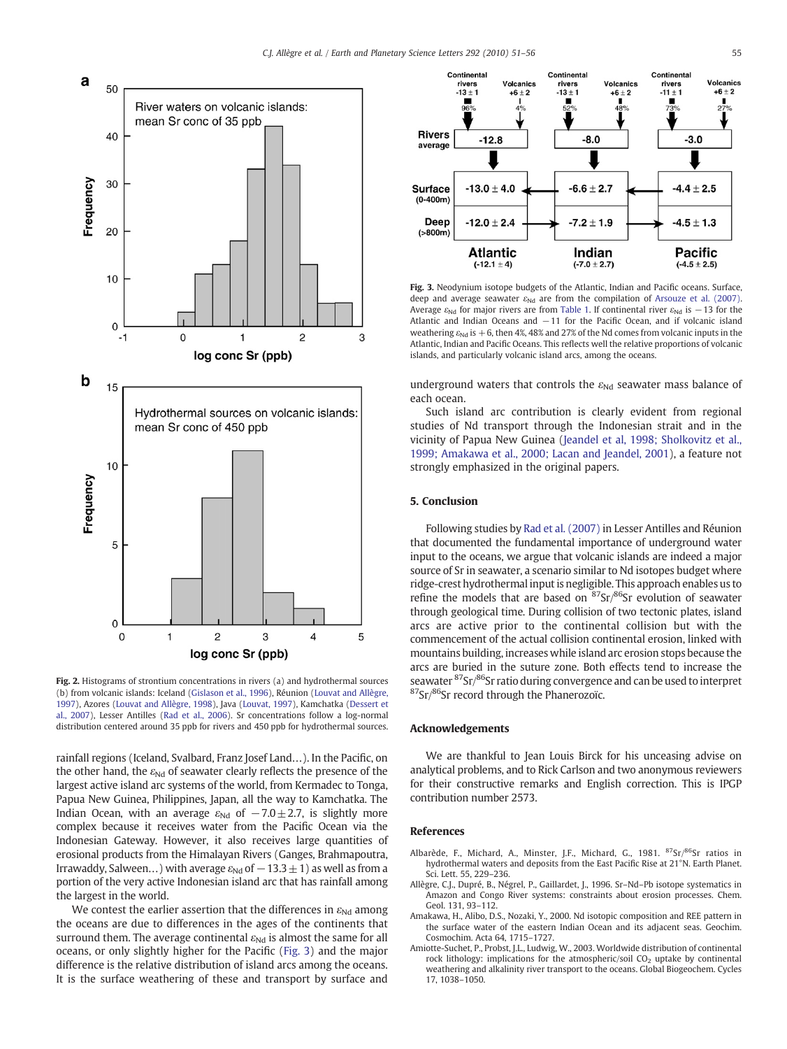<span id="page-4-0"></span>

Fig. 2. Histograms of strontium concentrations in rivers (a) and hydrothermal sources (b) from volcanic islands: Iceland ([Gislason et al., 1996](#page-5-0)), Réunion ([Louvat and Allègre,](#page-5-0) [1997](#page-5-0)), Azores ([Louvat and Allègre, 1998\)](#page-5-0), Java ([Louvat, 1997](#page-5-0)), Kamchatka ([Dessert et](#page-5-0) [al., 2007](#page-5-0)), Lesser Antilles ([Rad et al., 2006\)](#page-5-0). Sr concentrations follow a log-normal distribution centered around 35 ppb for rivers and 450 ppb for hydrothermal sources.

rainfall regions (Iceland, Svalbard, Franz Josef Land…). In the Pacific, on the other hand, the  $\varepsilon_{Nd}$  of seawater clearly reflects the presence of the largest active island arc systems of the world, from Kermadec to Tonga, Papua New Guinea, Philippines, Japan, all the way to Kamchatka. The Indian Ocean, with an average  $\varepsilon_{Nd}$  of  $-7.0 \pm 2.7$ , is slightly more complex because it receives water from the Pacific Ocean via the Indonesian Gateway. However, it also receives large quantities of erosional products from the Himalayan Rivers (Ganges, Brahmapoutra, Irrawaddy, Salween...) with average  $\varepsilon_{Nd}$  of  $-13.3\pm1$ ) as well as from a portion of the very active Indonesian island arc that has rainfall among the largest in the world.

We contest the earlier assertion that the differences in  $\varepsilon_{Nd}$  among the oceans are due to differences in the ages of the continents that surround them. The average continental  $\varepsilon_{Nd}$  is almost the same for all oceans, or only slightly higher for the Pacific (Fig. 3) and the major difference is the relative distribution of island arcs among the oceans. It is the surface weathering of these and transport by surface and



Fig. 3. Neodynium isotope budgets of the Atlantic, Indian and Pacific oceans. Surface, deep and average seawater  $\varepsilon_{Nd}$  are from the compilation of [Arsouze et al. \(2007\).](#page-5-0) Average  $\varepsilon_{Nd}$  for major rivers are from [Table 1.](#page-1-0) If continental river  $\varepsilon_{Nd}$  is  $-13$  for the Atlantic and Indian Oceans and −11 for the Pacific Ocean, and if volcanic island weathering  $\varepsilon_{Nd}$  is  $+6$ , then 4%, 48% and 27% of the Nd comes from volcanic inputs in the Atlantic, Indian and Pacific Oceans. This reflects well the relative proportions of volcanic islands, and particularly volcanic island arcs, among the oceans.

underground waters that controls the  $\varepsilon_{Nd}$  seawater mass balance of each ocean.

Such island arc contribution is clearly evident from regional studies of Nd transport through the Indonesian strait and in the vicinity of Papua New Guinea ([Jeandel et al, 1998; Sholkovitz et al.,](#page-5-0) [1999; Amakawa et al., 2000; Lacan and Jeandel, 2001\)](#page-5-0), a feature not strongly emphasized in the original papers.

## 5. Conclusion

Following studies by [Rad et al. \(2007\)](#page-5-0) in Lesser Antilles and Réunion that documented the fundamental importance of underground water input to the oceans, we argue that volcanic islands are indeed a major source of Sr in seawater, a scenario similar to Nd isotopes budget where ridge-crest hydrothermal input is negligible. This approach enables us to refine the models that are based on  ${}^{87}Sr/{}^{86}Sr$  evolution of seawater through geological time. During collision of two tectonic plates, island arcs are active prior to the continental collision but with the commencement of the actual collision continental erosion, linked with mountains building, increases while island arc erosion stops because the arcs are buried in the suture zone. Both effects tend to increase the seawater 87Sr/86Sr ratio during convergence and can be used to interpret 87Sr/86Sr record through the Phanerozoïc.

# Acknowledgements

We are thankful to Jean Louis Birck for his unceasing advise on analytical problems, and to Rick Carlson and two anonymous reviewers for their constructive remarks and English correction. This is IPGP contribution number 2573.

### References

- Albarède, F., Michard, A., Minster, J.F., Michard, G., 1981. 87Sr/86Sr ratios in hydrothermal waters and deposits from the East Pacific Rise at 21°N. Earth Planet. Sci. Lett. 55, 229–236.
- Allègre, C.J., Dupré, B., Négrel, P., Gaillardet, J., 1996. Sr–Nd–Pb isotope systematics in Amazon and Congo River systems: constraints about erosion processes. Chem. Geol. 131, 93–112.
- Amakawa, H., Alibo, D.S., Nozaki, Y., 2000. Nd isotopic composition and REE pattern in the surface water of the eastern Indian Ocean and its adjacent seas. Geochim. Cosmochim. Acta 64, 1715–1727.
- Amiotte-Suchet, P., Probst, J.L., Ludwig, W., 2003. Worldwide distribution of continental rock lithology: implications for the atmospheric/soil  $CO<sub>2</sub>$  uptake by continental weathering and alkalinity river transport to the oceans. Global Biogeochem. Cycles 17, 1038–1050.